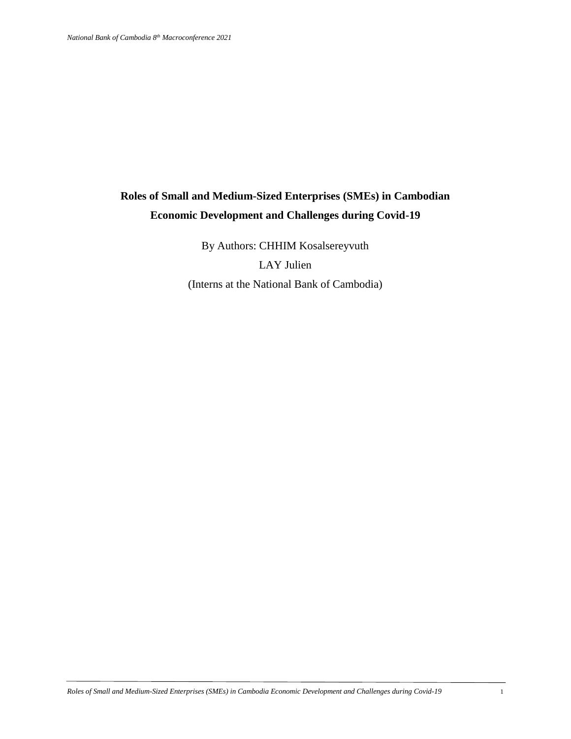# **Roles of Small and Medium-Sized Enterprises (SMEs) in Cambodian Economic Development and Challenges during Covid-19**

By Authors: CHHIM Kosalsereyvuth LAY Julien (Interns at the National Bank of Cambodia)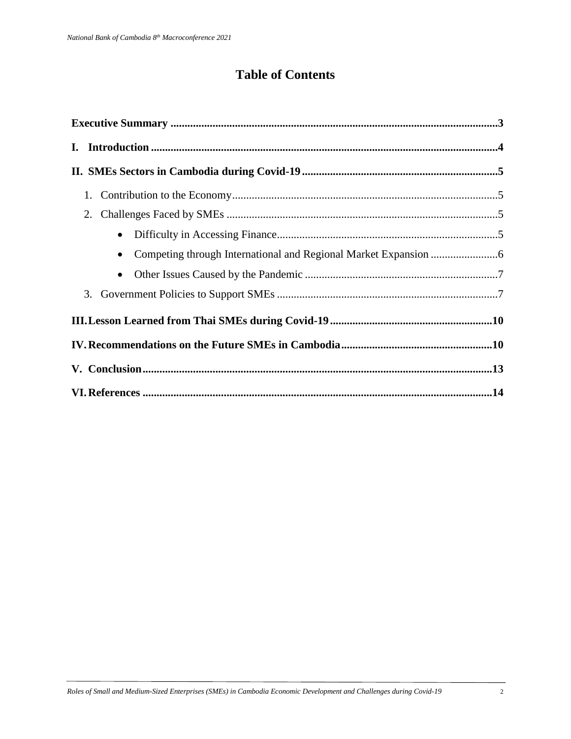# **Table of Contents**

| 1.        |  |
|-----------|--|
| 2.        |  |
| $\bullet$ |  |
| $\bullet$ |  |
| $\bullet$ |  |
|           |  |
|           |  |
|           |  |
|           |  |
|           |  |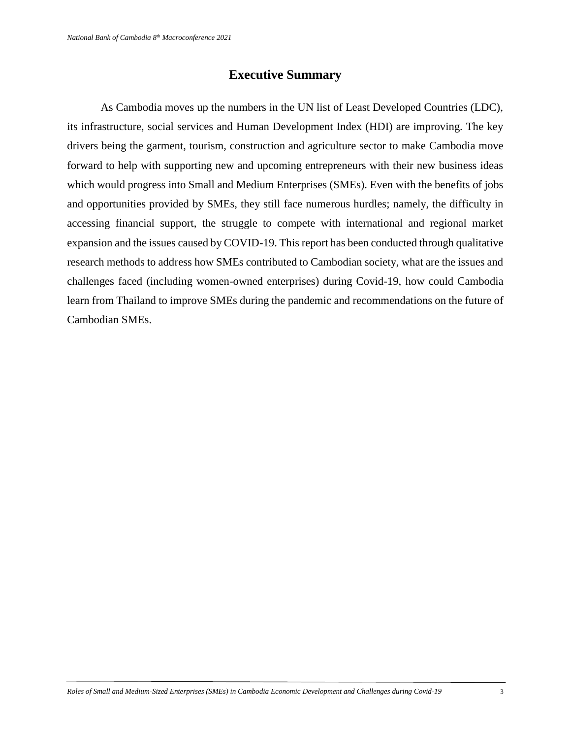# **Executive Summary**

As Cambodia moves up the numbers in the UN list of Least Developed Countries (LDC), its infrastructure, social services and Human Development Index (HDI) are improving. The key drivers being the garment, tourism, construction and agriculture sector to make Cambodia move forward to help with supporting new and upcoming entrepreneurs with their new business ideas which would progress into Small and Medium Enterprises (SMEs). Even with the benefits of jobs and opportunities provided by SMEs, they still face numerous hurdles; namely, the difficulty in accessing financial support, the struggle to compete with international and regional market expansion and the issues caused by COVID-19. This report has been conducted through qualitative research methods to address how SMEs contributed to Cambodian society, what are the issues and challenges faced (including women-owned enterprises) during Covid-19, how could Cambodia learn from Thailand to improve SMEs during the pandemic and recommendations on the future of Cambodian SMEs.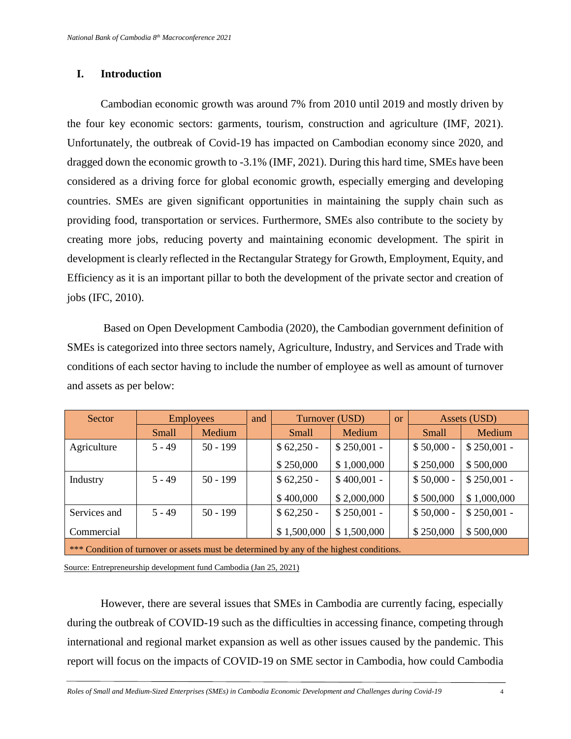## **I. Introduction**

Cambodian economic growth was around 7% from 2010 until 2019 and mostly driven by the four key economic sectors: garments, tourism, construction and agriculture (IMF, 2021). Unfortunately, the outbreak of Covid-19 has impacted on Cambodian economy since 2020, and dragged down the economic growth to -3.1% (IMF, 2021). During this hard time, SMEs have been considered as a driving force for global economic growth, especially emerging and developing countries. SMEs are given significant opportunities in maintaining the supply chain such as providing food, transportation or services. Furthermore, SMEs also contribute to the society by creating more jobs, reducing poverty and maintaining economic development. The spirit in development is clearly reflected in the Rectangular Strategy for Growth, Employment, Equity, and Efficiency as it is an important pillar to both the development of the private sector and creation of jobs (IFC, 2010).

Based on Open Development Cambodia (2020), the Cambodian government definition of SMEs is categorized into three sectors namely, Agriculture, Industry, and Services and Trade with conditions of each sector having to include the number of employee as well as amount of turnover and assets as per below:

| Sector                                                                                   | <b>Employees</b> |            | and | Turnover (USD) |              | <b>or</b> | Assets (USD) |              |  |  |
|------------------------------------------------------------------------------------------|------------------|------------|-----|----------------|--------------|-----------|--------------|--------------|--|--|
|                                                                                          | <b>Small</b>     | Medium     |     | <b>Small</b>   | Medium       |           | Small        | Medium       |  |  |
| Agriculture                                                                              | $5 - 49$         | $50 - 199$ |     | $$62,250 -$    | $$250,001 -$ |           | $$50,000 -$  | $$250,001 -$ |  |  |
|                                                                                          |                  |            |     | \$250,000      | \$1,000,000  |           | \$250,000    | \$500,000    |  |  |
| Industry                                                                                 | $5 - 49$         | $50 - 199$ |     | $$62,250 -$    | $$400,001 -$ |           | $$50,000 -$  | $$250,001 -$ |  |  |
|                                                                                          |                  |            |     | \$400,000      | \$2,000,000  |           | \$500,000    | \$1,000,000  |  |  |
| Services and                                                                             | $5 - 49$         | $50 - 199$ |     | $$62,250 -$    | $$250,001 -$ |           | $$50,000 -$  | $$250,001 -$ |  |  |
| Commercial                                                                               |                  |            |     | \$1,500,000    | \$1,500,000  |           | \$250,000    | \$500,000    |  |  |
| *** Condition of turnover or assets must be determined by any of the highest conditions. |                  |            |     |                |              |           |              |              |  |  |

Source: Entrepreneurship development fund Cambodia (Jan 25, 2021)

However, there are several issues that SMEs in Cambodia are currently facing, especially during the outbreak of COVID-19 such as the difficulties in accessing finance, competing through international and regional market expansion as well as other issues caused by the pandemic. This report will focus on the impacts of COVID-19 on SME sector in Cambodia, how could Cambodia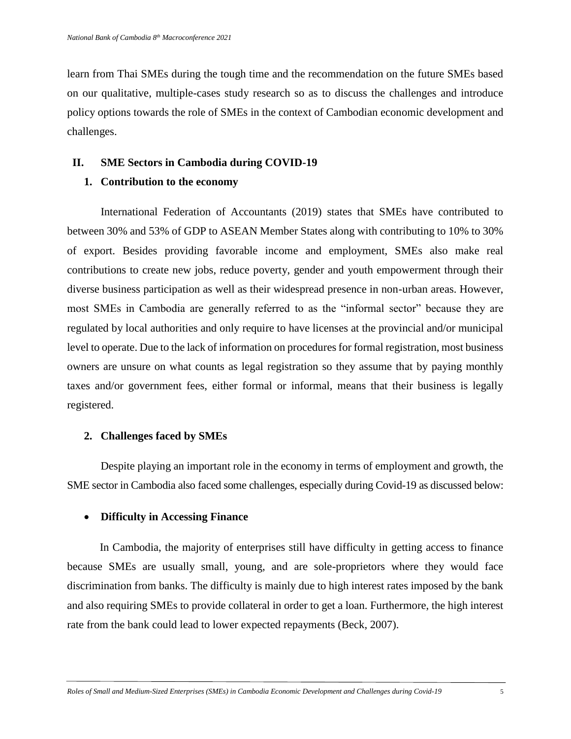learn from Thai SMEs during the tough time and the recommendation on the future SMEs based on our qualitative, multiple-cases study research so as to discuss the challenges and introduce policy options towards the role of SMEs in the context of Cambodian economic development and challenges.

# **II. SME Sectors in Cambodia during COVID-19**

# **1. Contribution to the economy**

International Federation of Accountants (2019) states that SMEs have contributed to between 30% and 53% of GDP to ASEAN Member States along with contributing to 10% to 30% of export. Besides providing favorable income and employment, SMEs also make real contributions to create new jobs, reduce poverty, gender and youth empowerment through their diverse business participation as well as their widespread presence in non-urban areas. However, most SMEs in Cambodia are generally referred to as the "informal sector" because they are regulated by local authorities and only require to have licenses at the provincial and/or municipal level to operate. Due to the lack of information on procedures for formal registration, most business owners are unsure on what counts as legal registration so they assume that by paying monthly taxes and/or government fees, either formal or informal, means that their business is legally registered.

# **2. Challenges faced by SMEs**

Despite playing an important role in the economy in terms of employment and growth, the SME sector in Cambodia also faced some challenges, especially during Covid-19 as discussed below:

# **Difficulty in Accessing Finance**

In Cambodia, the majority of enterprises still have difficulty in getting access to finance because SMEs are usually small, young, and are sole-proprietors where they would face discrimination from banks. The difficulty is mainly due to high interest rates imposed by the bank and also requiring SMEs to provide collateral in order to get a loan. Furthermore, the high interest rate from the bank could lead to lower expected repayments (Beck, 2007).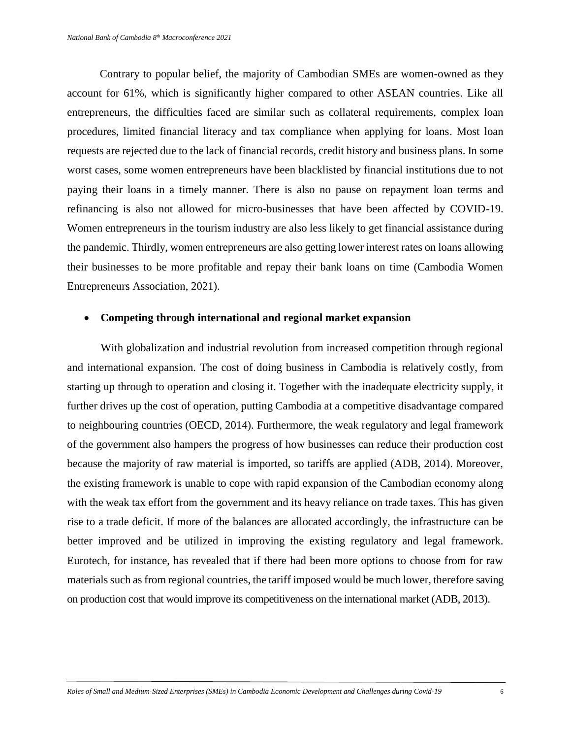Contrary to popular belief, the majority of Cambodian SMEs are women-owned as they account for 61%, which is significantly higher compared to other ASEAN countries. Like all entrepreneurs, the difficulties faced are similar such as collateral requirements, complex loan procedures, limited financial literacy and tax compliance when applying for loans. Most loan requests are rejected due to the lack of financial records, credit history and business plans. In some worst cases, some women entrepreneurs have been blacklisted by financial institutions due to not paying their loans in a timely manner. There is also no pause on repayment loan terms and refinancing is also not allowed for micro-businesses that have been affected by COVID-19. Women entrepreneurs in the tourism industry are also less likely to get financial assistance during the pandemic. Thirdly, women entrepreneurs are also getting lower interest rates on loans allowing their businesses to be more profitable and repay their bank loans on time (Cambodia Women Entrepreneurs Association, 2021).

#### **Competing through international and regional market expansion**

With globalization and industrial revolution from increased competition through regional and international expansion. The cost of doing business in Cambodia is relatively costly, from starting up through to operation and closing it. Together with the inadequate electricity supply, it further drives up the cost of operation, putting Cambodia at a competitive disadvantage compared to neighbouring countries (OECD, 2014). Furthermore, the weak regulatory and legal framework of the government also hampers the progress of how businesses can reduce their production cost because the majority of raw material is imported, so tariffs are applied (ADB, 2014). Moreover, the existing framework is unable to cope with rapid expansion of the Cambodian economy along with the weak tax effort from the government and its heavy reliance on trade taxes. This has given rise to a trade deficit. If more of the balances are allocated accordingly, the infrastructure can be better improved and be utilized in improving the existing regulatory and legal framework. Eurotech, for instance, has revealed that if there had been more options to choose from for raw materials such as from regional countries, the tariff imposed would be much lower, therefore saving on production cost that would improve its competitiveness on the international market (ADB, 2013).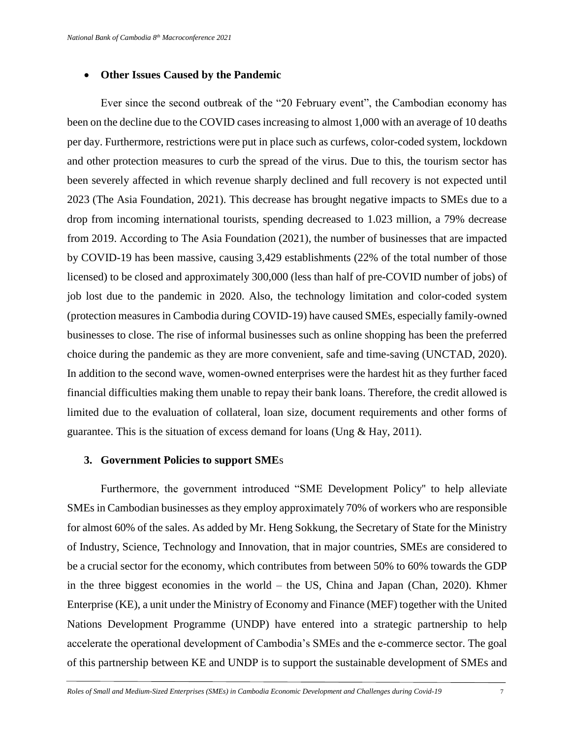#### **Other Issues Caused by the Pandemic**

Ever since the second outbreak of the "20 February event", the Cambodian economy has been on the decline due to the COVID cases increasing to almost 1,000 with an average of 10 deaths per day. Furthermore, restrictions were put in place such as curfews, color-coded system, lockdown and other protection measures to curb the spread of the virus. Due to this, the tourism sector has been severely affected in which revenue sharply declined and full recovery is not expected until 2023 (The Asia Foundation, 2021). This decrease has brought negative impacts to SMEs due to a drop from incoming international tourists, spending decreased to 1.023 million, a 79% decrease from 2019. According to The Asia Foundation (2021), the number of businesses that are impacted by COVID-19 has been massive, causing 3,429 establishments (22% of the total number of those licensed) to be closed and approximately 300,000 (less than half of pre-COVID number of jobs) of job lost due to the pandemic in 2020. Also, the technology limitation and color-coded system (protection measures in Cambodia during COVID-19) have caused SMEs, especially family-owned businesses to close. The rise of informal businesses such as online shopping has been the preferred choice during the pandemic as they are more convenient, safe and time-saving (UNCTAD, 2020). In addition to the second wave, women-owned enterprises were the hardest hit as they further faced financial difficulties making them unable to repay their bank loans. Therefore, the credit allowed is limited due to the evaluation of collateral, loan size, document requirements and other forms of guarantee. This is the situation of excess demand for loans (Ung & Hay, 2011).

#### **3. Government Policies to support SME**s

Furthermore, the government introduced "SME Development Policy'' to help alleviate SMEs in Cambodian businesses as they employ approximately 70% of workers who are responsible for almost 60% of the sales. As added by Mr. Heng Sokkung, the Secretary of State for the Ministry of Industry, Science, Technology and Innovation, that in major countries, SMEs are considered to be a crucial sector for the economy, which contributes from between 50% to 60% towards the GDP in the three biggest economies in the world – the US, China and Japan (Chan, 2020). Khmer Enterprise (KE), a unit under the Ministry of Economy and Finance (MEF) together with the United Nations Development Programme (UNDP) have entered into a strategic partnership to help accelerate the operational development of Cambodia's SMEs and the e-commerce sector. The goal of this partnership between KE and UNDP is to support the sustainable development of SMEs and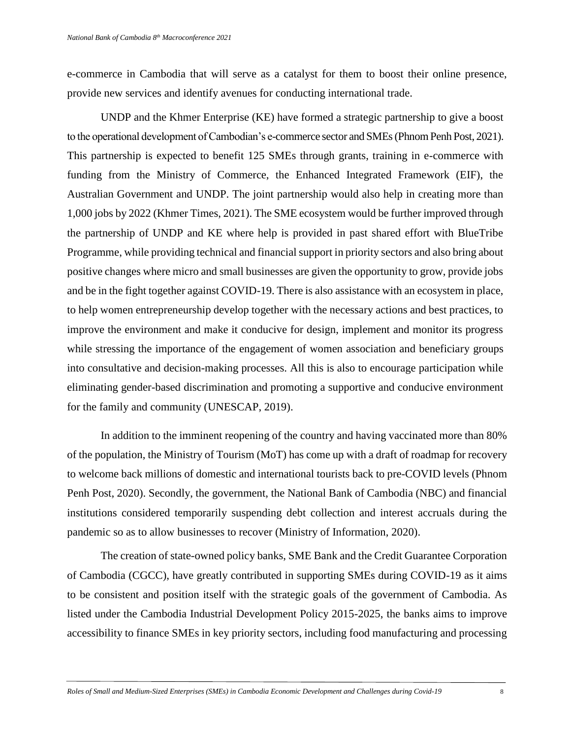e-commerce in Cambodia that will serve as a catalyst for them to boost their online presence, provide new services and identify avenues for conducting international trade.

UNDP and the Khmer Enterprise (KE) have formed a strategic partnership to give a boost to the operational development of Cambodian's e-commerce sector and SMEs (Phnom Penh Post, 2021). This partnership is expected to benefit 125 SMEs through grants, training in e-commerce with funding from the Ministry of Commerce, the Enhanced Integrated Framework (EIF), the Australian Government and UNDP. The joint partnership would also help in creating more than 1,000 jobs by 2022 (Khmer Times, 2021). The SME ecosystem would be further improved through the partnership of UNDP and KE where help is provided in past shared effort with BlueTribe Programme, while providing technical and financial support in priority sectors and also bring about positive changes where micro and small businesses are given the opportunity to grow, provide jobs and be in the fight together against COVID-19. There is also assistance with an ecosystem in place, to help women entrepreneurship develop together with the necessary actions and best practices, to improve the environment and make it conducive for design, implement and monitor its progress while stressing the importance of the engagement of women association and beneficiary groups into consultative and decision-making processes. All this is also to encourage participation while eliminating gender-based discrimination and promoting a supportive and conducive environment for the family and community (UNESCAP, 2019).

In addition to the imminent reopening of the country and having vaccinated more than 80% of the population, the Ministry of Tourism (MoT) has come up with a draft of roadmap for recovery to welcome back millions of domestic and international tourists back to pre-COVID levels (Phnom Penh Post, 2020). Secondly, the government, the National Bank of Cambodia (NBC) and financial institutions considered temporarily suspending debt collection and interest accruals during the pandemic so as to allow businesses to recover (Ministry of Information, 2020).

The creation of state-owned policy banks, SME Bank and the Credit Guarantee Corporation of Cambodia (CGCC), have greatly contributed in supporting SMEs during COVID-19 as it aims to be consistent and position itself with the strategic goals of the government of Cambodia. As listed under the Cambodia Industrial Development Policy 2015-2025, the banks aims to improve accessibility to finance SMEs in key priority sectors, including food manufacturing and processing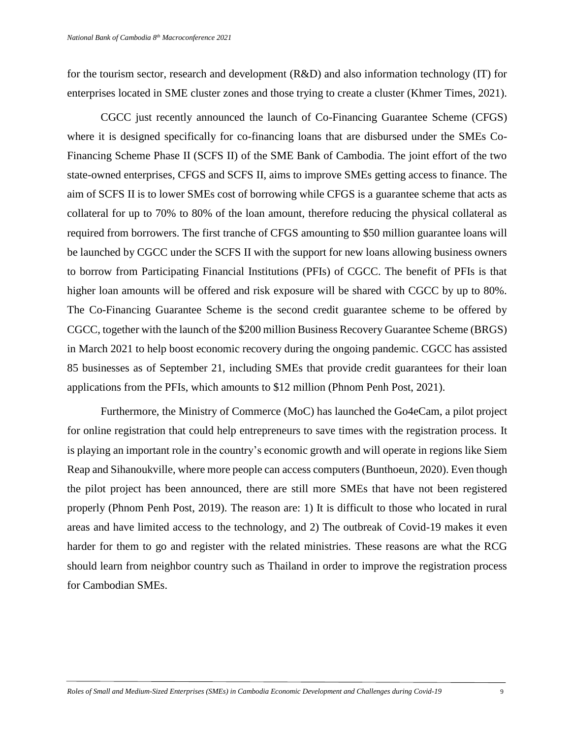for the tourism sector, research and development (R&D) and also information technology (IT) for enterprises located in SME cluster zones and those trying to create a cluster (Khmer Times, 2021).

CGCC just recently announced the launch of Co-Financing Guarantee Scheme (CFGS) where it is designed specifically for co-financing loans that are disbursed under the SMEs Co-Financing Scheme Phase II (SCFS II) of the SME Bank of Cambodia. The joint effort of the two state-owned enterprises, CFGS and SCFS II, aims to improve SMEs getting access to finance. The aim of SCFS II is to lower SMEs cost of borrowing while CFGS is a guarantee scheme that acts as collateral for up to 70% to 80% of the loan amount, therefore reducing the physical collateral as required from borrowers. The first tranche of CFGS amounting to \$50 million guarantee loans will be launched by CGCC under the SCFS II with the support for new loans allowing business owners to borrow from Participating Financial Institutions (PFIs) of CGCC. The benefit of PFIs is that higher loan amounts will be offered and risk exposure will be shared with CGCC by up to 80%. The Co-Financing Guarantee Scheme is the second credit guarantee scheme to be offered by CGCC, together with the launch of the \$200 million Business Recovery Guarantee Scheme (BRGS) in March 2021 to help boost economic recovery during the ongoing pandemic. CGCC has assisted 85 businesses as of September 21, including SMEs that provide credit guarantees for their loan applications from the PFIs, which amounts to \$12 million (Phnom Penh Post, 2021).

Furthermore, the Ministry of Commerce (MoC) has launched the Go4eCam, a pilot project for online registration that could help entrepreneurs to save times with the registration process. It is playing an important role in the country's economic growth and will operate in regions like Siem Reap and Sihanoukville, where more people can access computers (Bunthoeun, 2020). Even though the pilot project has been announced, there are still more SMEs that have not been registered properly (Phnom Penh Post, 2019). The reason are: 1) It is difficult to those who located in rural areas and have limited access to the technology, and 2) The outbreak of Covid-19 makes it even harder for them to go and register with the related ministries. These reasons are what the RCG should learn from neighbor country such as Thailand in order to improve the registration process for Cambodian SMEs.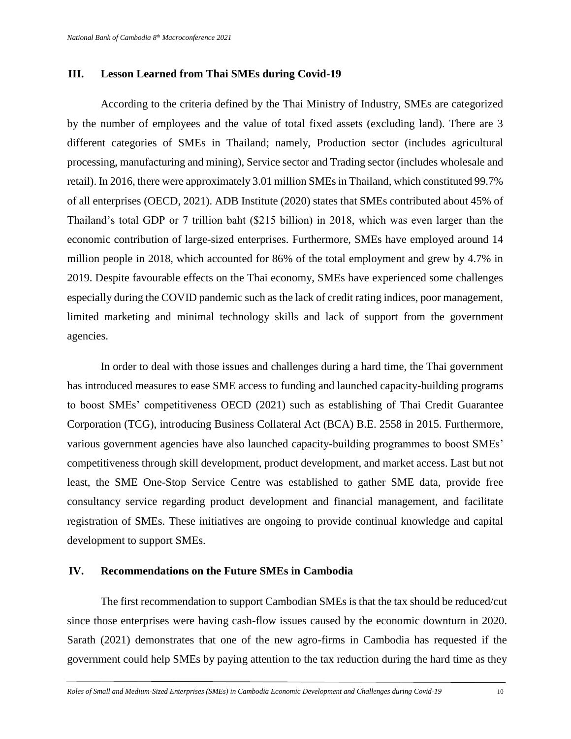# **III. Lesson Learned from Thai SMEs during Covid-19**

According to the criteria defined by the Thai Ministry of Industry, SMEs are categorized by the number of employees and the value of total fixed assets (excluding land). There are 3 different categories of SMEs in Thailand; namely, Production sector (includes agricultural processing, manufacturing and mining), Service sector and Trading sector (includes wholesale and retail). In 2016, there were approximately 3.01 million SMEs in Thailand, which constituted 99.7% of all enterprises (OECD, 2021). ADB Institute (2020) states that SMEs contributed about 45% of Thailand's total GDP or 7 trillion baht (\$215 billion) in 2018, which was even larger than the economic contribution of large-sized enterprises. Furthermore, SMEs have employed around 14 million people in 2018, which accounted for 86% of the total employment and grew by 4.7% in 2019. Despite favourable effects on the Thai economy, SMEs have experienced some challenges especially during the COVID pandemic such as the lack of credit rating indices, poor management, limited marketing and minimal technology skills and lack of support from the government agencies.

In order to deal with those issues and challenges during a hard time, the Thai government has introduced measures to ease SME access to funding and launched capacity-building programs to boost SMEs' competitiveness OECD (2021) such as establishing of Thai Credit Guarantee Corporation (TCG), introducing Business Collateral Act (BCA) B.E. 2558 in 2015. Furthermore, various government agencies have also launched capacity-building programmes to boost SMEs' competitiveness through skill development, product development, and market access. Last but not least, the SME One-Stop Service Centre was established to gather SME data, provide free consultancy service regarding product development and financial management, and facilitate registration of SMEs. These initiatives are ongoing to provide continual knowledge and capital development to support SMEs.

# **IV. Recommendations on the Future SMEs in Cambodia**

The first recommendation to support Cambodian SMEs is that the tax should be reduced/cut since those enterprises were having cash-flow issues caused by the economic downturn in 2020. Sarath (2021) demonstrates that one of the new agro-firms in Cambodia has requested if the government could help SMEs by paying attention to the tax reduction during the hard time as they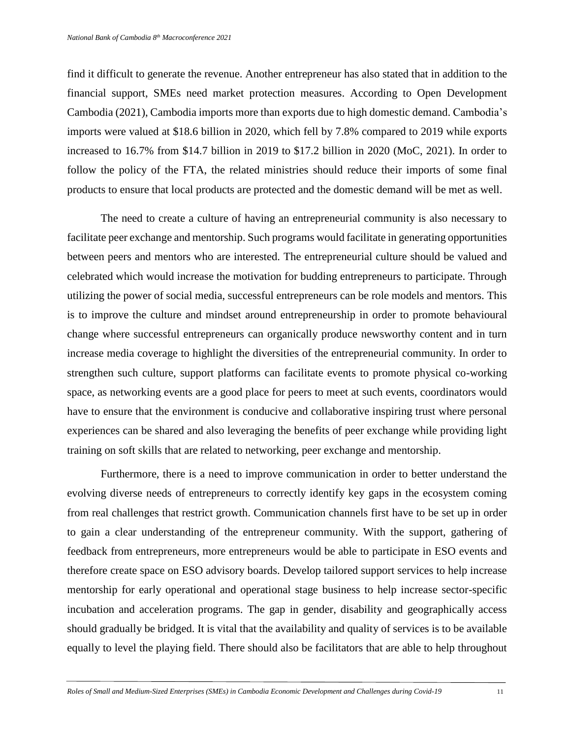find it difficult to generate the revenue. Another entrepreneur has also stated that in addition to the financial support, SMEs need market protection measures. According to Open Development Cambodia (2021), Cambodia imports more than exports due to high domestic demand. Cambodia's imports were valued at \$18.6 billion in 2020, which fell by 7.8% compared to 2019 while exports increased to 16.7% from \$14.7 billion in 2019 to \$17.2 billion in 2020 (MoC, 2021). In order to follow the policy of the FTA, the related ministries should reduce their imports of some final products to ensure that local products are protected and the domestic demand will be met as well.

The need to create a culture of having an entrepreneurial community is also necessary to facilitate peer exchange and mentorship. Such programs would facilitate in generating opportunities between peers and mentors who are interested. The entrepreneurial culture should be valued and celebrated which would increase the motivation for budding entrepreneurs to participate. Through utilizing the power of social media, successful entrepreneurs can be role models and mentors. This is to improve the culture and mindset around entrepreneurship in order to promote behavioural change where successful entrepreneurs can organically produce newsworthy content and in turn increase media coverage to highlight the diversities of the entrepreneurial community. In order to strengthen such culture, support platforms can facilitate events to promote physical co-working space, as networking events are a good place for peers to meet at such events, coordinators would have to ensure that the environment is conducive and collaborative inspiring trust where personal experiences can be shared and also leveraging the benefits of peer exchange while providing light training on soft skills that are related to networking, peer exchange and mentorship.

Furthermore, there is a need to improve communication in order to better understand the evolving diverse needs of entrepreneurs to correctly identify key gaps in the ecosystem coming from real challenges that restrict growth. Communication channels first have to be set up in order to gain a clear understanding of the entrepreneur community. With the support, gathering of feedback from entrepreneurs, more entrepreneurs would be able to participate in ESO events and therefore create space on ESO advisory boards. Develop tailored support services to help increase mentorship for early operational and operational stage business to help increase sector-specific incubation and acceleration programs. The gap in gender, disability and geographically access should gradually be bridged. It is vital that the availability and quality of services is to be available equally to level the playing field. There should also be facilitators that are able to help throughout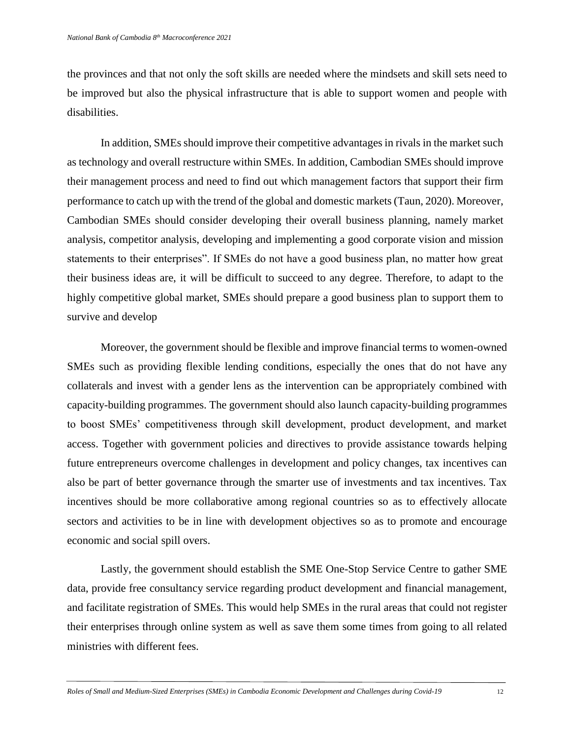the provinces and that not only the soft skills are needed where the mindsets and skill sets need to be improved but also the physical infrastructure that is able to support women and people with disabilities.

In addition, SMEs should improve their competitive advantages in rivals in the market such as technology and overall restructure within SMEs. In addition, Cambodian SMEs should improve their management process and need to find out which management factors that support their firm performance to catch up with the trend of the global and domestic markets (Taun, 2020). Moreover, Cambodian SMEs should consider developing their overall business planning, namely market analysis, competitor analysis, developing and implementing a good corporate vision and mission statements to their enterprises". If SMEs do not have a good business plan, no matter how great their business ideas are, it will be difficult to succeed to any degree. Therefore, to adapt to the highly competitive global market, SMEs should prepare a good business plan to support them to survive and develop

 Moreover, the government should be flexible and improve financial terms to women-owned SMEs such as providing flexible lending conditions, especially the ones that do not have any collaterals and invest with a gender lens as the intervention can be appropriately combined with capacity-building programmes. The government should also launch capacity-building programmes to boost SMEs' competitiveness through skill development, product development, and market access. Together with government policies and directives to provide assistance towards helping future entrepreneurs overcome challenges in development and policy changes, tax incentives can also be part of better governance through the smarter use of investments and tax incentives. Tax incentives should be more collaborative among regional countries so as to effectively allocate sectors and activities to be in line with development objectives so as to promote and encourage economic and social spill overs.

Lastly, the government should establish the SME One-Stop Service Centre to gather SME data, provide free consultancy service regarding product development and financial management, and facilitate registration of SMEs. This would help SMEs in the rural areas that could not register their enterprises through online system as well as save them some times from going to all related ministries with different fees.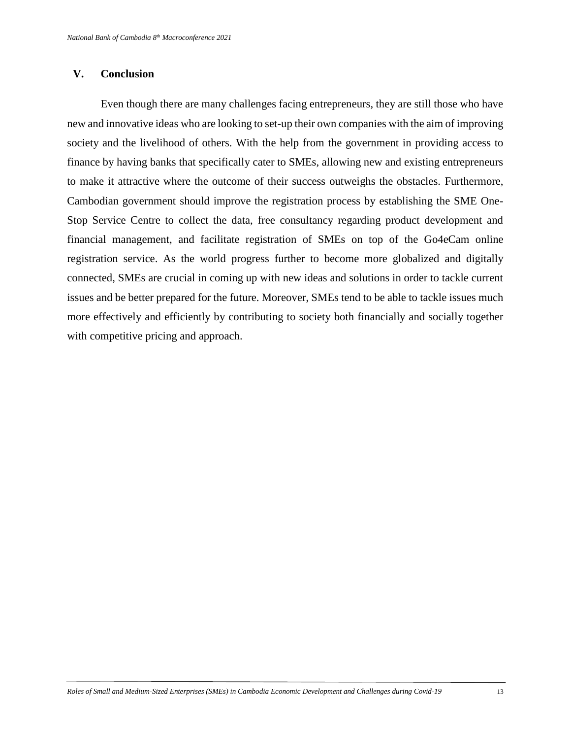## **V. Conclusion**

Even though there are many challenges facing entrepreneurs, they are still those who have new and innovative ideas who are looking to set-up their own companies with the aim of improving society and the livelihood of others. With the help from the government in providing access to finance by having banks that specifically cater to SMEs, allowing new and existing entrepreneurs to make it attractive where the outcome of their success outweighs the obstacles. Furthermore, Cambodian government should improve the registration process by establishing the SME One-Stop Service Centre to collect the data, free consultancy regarding product development and financial management, and facilitate registration of SMEs on top of the Go4eCam online registration service. As the world progress further to become more globalized and digitally connected, SMEs are crucial in coming up with new ideas and solutions in order to tackle current issues and be better prepared for the future. Moreover, SMEs tend to be able to tackle issues much more effectively and efficiently by contributing to society both financially and socially together with competitive pricing and approach.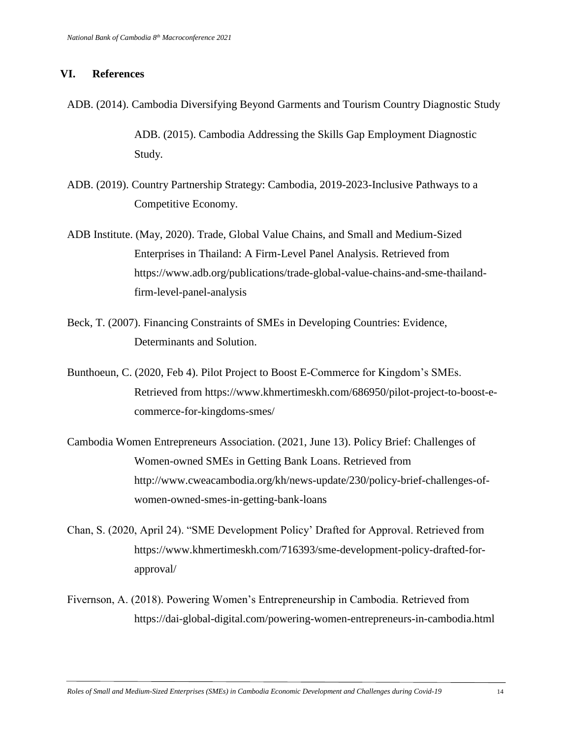#### **VI. References**

ADB. (2014). Cambodia Diversifying Beyond Garments and Tourism Country Diagnostic Study

ADB. (2015). Cambodia Addressing the Skills Gap Employment Diagnostic Study.

- ADB. (2019). Country Partnership Strategy: Cambodia, 2019-2023-Inclusive Pathways to a Competitive Economy.
- ADB Institute. (May, 2020). Trade, Global Value Chains, and Small and Medium-Sized Enterprises in Thailand: A Firm-Level Panel Analysis. Retrieved from https://www.adb.org/publications/trade-global-value-chains-and-sme-thailandfirm-level-panel-analysis
- Beck, T. (2007). Financing Constraints of SMEs in Developing Countries: Evidence, Determinants and Solution.
- Bunthoeun, C. (2020, Feb 4). Pilot Project to Boost E-Commerce for Kingdom's SMEs. Retrieved from https://www.khmertimeskh.com/686950/pilot-project-to-boost-ecommerce-for-kingdoms-smes/
- Cambodia Women Entrepreneurs Association. (2021, June 13). Policy Brief: Challenges of Women-owned SMEs in Getting Bank Loans. Retrieved from http://www.cweacambodia.org/kh/news-update/230/policy-brief-challenges-ofwomen-owned-smes-in-getting-bank-loans
- Chan, S. (2020, April 24). "SME Development Policy' Drafted for Approval. Retrieved from https://www.khmertimeskh.com/716393/sme-development-policy-drafted-forapproval/
- Fivernson, A. (2018). Powering Women's Entrepreneurship in Cambodia. Retrieved from https://dai-global-digital.com/powering-women-entrepreneurs-in-cambodia.html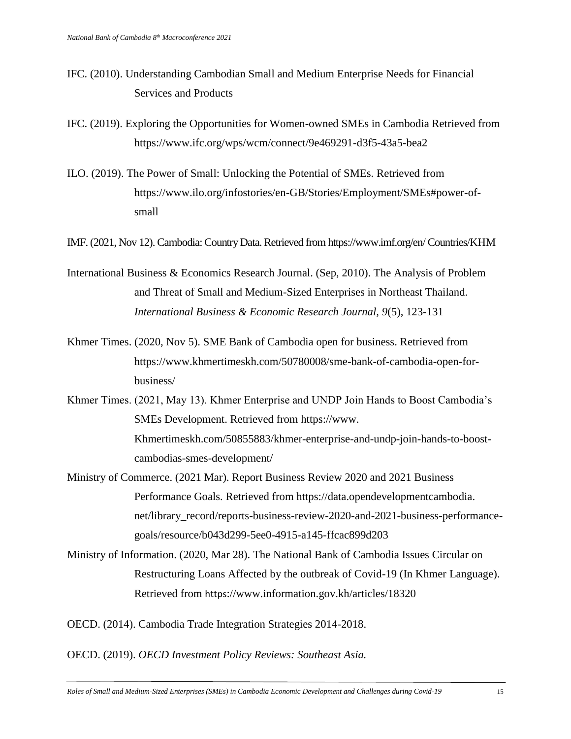- IFC. (2010). Understanding Cambodian Small and Medium Enterprise Needs for Financial Services and Products
- IFC. (2019). Exploring the Opportunities for Women-owned SMEs in Cambodia Retrieved from https://www.ifc.org/wps/wcm/connect/9e469291-d3f5-43a5-bea2
- ILO. (2019). The Power of Small: Unlocking the Potential of SMEs. Retrieved from https://www.ilo.org/infostories/en-GB/Stories/Employment/SMEs#power-ofsmall
- IMF. (2021, Nov 12). Cambodia: Country Data. Retrieved from https://www.imf.org/en/ Countries/KHM
- International Business & Economics Research Journal. (Sep, 2010). The Analysis of Problem and Threat of Small and Medium-Sized Enterprises in Northeast Thailand. *International Business & Economic Research Journal, 9*(5), 123-131
- Khmer Times. (2020, Nov 5). SME Bank of Cambodia open for business. Retrieved from https://www.khmertimeskh.com/50780008/sme-bank-of-cambodia-open-forbusiness/
- Khmer Times. (2021, May 13). Khmer Enterprise and UNDP Join Hands to Boost Cambodia's SMEs Development. Retrieved from https://www. Khmertimeskh.com/50855883/khmer-enterprise-and-undp-join-hands-to-boostcambodias-smes-development/
- Ministry of Commerce. (2021 Mar). Report Business Review 2020 and 2021 Business Performance Goals. Retrieved from https://data.opendevelopmentcambodia. net/library\_record/reports-business-review-2020-and-2021-business-performancegoals/resource/b043d299-5ee0-4915-a145-ffcac899d203
- Ministry of Information. (2020, Mar 28). The National Bank of Cambodia Issues Circular on Restructuring Loans Affected by the outbreak of Covid-19 (In Khmer Language). Retrieved from https://www.information.gov.kh/articles/18320
- OECD. (2014). Cambodia Trade Integration Strategies 2014-2018.

OECD. (2019). *OECD Investment Policy Reviews: Southeast Asia.*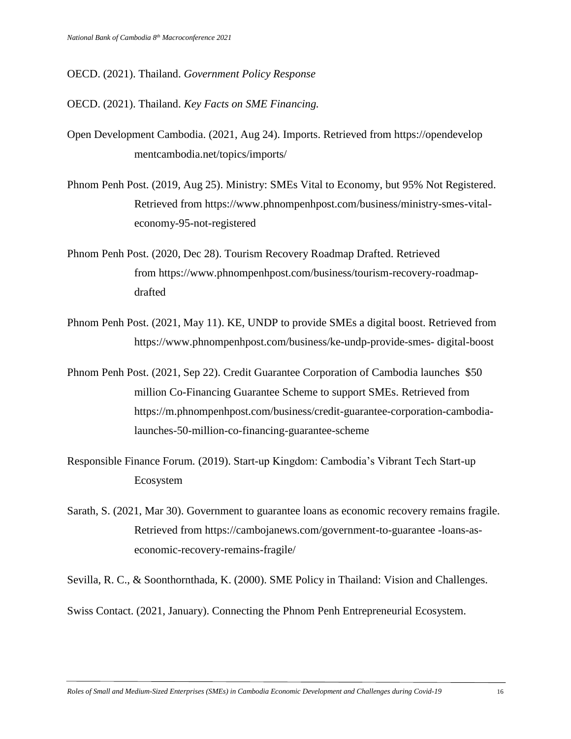#### OECD. (2021). Thailand. *Government Policy Response*

OECD. (2021). Thailand. *Key Facts on SME Financing.*

Open Development Cambodia. (2021, Aug 24). Imports. Retrieved from https://opendevelop mentcambodia.net/topics/imports/

Phnom Penh Post. (2019, Aug 25). Ministry: SMEs Vital to Economy, but 95% Not Registered. Retrieved from https://www.phnompenhpost.com/business/ministry-smes-vitaleconomy-95-not-registered

Phnom Penh Post. (2020, Dec 28). Tourism Recovery Roadmap Drafted. Retrieved from https://www.phnompenhpost.com/business/tourism-recovery-roadmapdrafted

- Phnom Penh Post. (2021, May 11). KE, UNDP to provide SMEs a digital boost. Retrieved from https://www.phnompenhpost.com/business/ke-undp-provide-smes- digital-boost
- Phnom Penh Post. (2021, Sep 22). [Credit Guarantee Corporation of Cambodia launches](https://m.phnompenhpost.com/business/credit-guarantee-corporation-cambodia-launches-50-million-co-financing-guarantee-scheme) \$50 [million Co-Financing Guarantee Scheme to support SMEs.](https://m.phnompenhpost.com/business/credit-guarantee-corporation-cambodia-launches-50-million-co-financing-guarantee-scheme) Retrieved from https://m.phnompenhpost.com/business/credit-guarantee-corporation-cambodialaunches-50-million-co-financing-guarantee-scheme
- Responsible Finance Forum*.* (2019). Start-up Kingdom: Cambodia's Vibrant Tech Start-up Ecosystem
- Sarath, S. (2021, Mar 30). Government to guarantee loans as economic recovery remains fragile. Retrieved from https://cambojanews.com/government-to-guarantee -loans-aseconomic-recovery-remains-fragile/

Sevilla, R. C., & Soonthornthada, K. (2000). SME Policy in Thailand: Vision and Challenges.

Swiss Contact. (2021, January). Connecting the Phnom Penh Entrepreneurial Ecosystem.